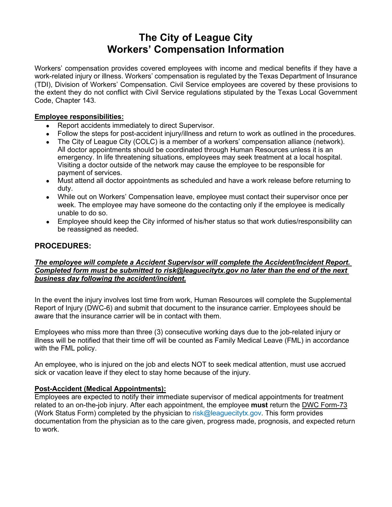# **The City of League City Workers' Compensation Information**

Workers' compensation provides covered employees with income and medical benefits if they have a work-related injury or illness. Workers' compensation is regulated by the Texas Department of Insurance (TDI), Division of Workers' Compensation. Civil Service employees are covered by these provisions to the extent they do not conflict with Civil Service regulations stipulated by the Texas Local Government Code, Chapter 143.

# **Employee responsibilities:**

- Report accidents immediately to direct Supervisor.
- Follow the steps for post-accident injury/illness and return to work as outlined in the procedures.
- The City of League City (COLC) is a member of a workers' compensation alliance (network). All doctor appointments should be coordinated through Human Resources unless it is an emergency. In life threatening situations, employees may seek treatment at a local hospital. Visiting a doctor outside of the network may cause the employee to be responsible for payment of services.
- Must attend all doctor appointments as scheduled and have a work release before returning to duty.
- While out on Workers' Compensation leave, employee must contact their supervisor once per week. The employee may have someone do the contacting only if the employee is medically unable to do so.
- Employee should keep the City informed of his/her status so that work duties/responsibility can be reassigned as needed.

# **PROCEDURES:**

## *The employee will complete a Accident Supervisor will complete the Accident/Incident Report. Completed form must be submitted to risk@leaguecitytx.gov no later than the end of the next business day following the accident/incident.*

In the event the injury involves lost time from work, Human Resources will complete the Supplemental Report of Injury (DWC-6) and submit that document to the insurance carrier. Employees should be aware that the insurance carrier will be in contact with them.

Employees who miss more than three (3) consecutive working days due to the job-related injury or illness will be notified that their time off will be counted as Family Medical Leave (FML) in accordance with the FML policy.

An employee, who is injured on the job and elects NOT to seek medical attention, must use accrued sick or vacation leave if they elect to stay home because of the injury.

## **Post-Accident (Medical Appointments):**

Employees are expected to notify their immediate supervisor of medical appointments for treatment related to an on-the-job injury. After each appointment, the employee **must** return the DWC Form-73 (Work Status Form) completed by the physician to risk@leaguecitytx.gov. This form provides documentation from the physician as to the care given, progress made, prognosis, and expected return to work.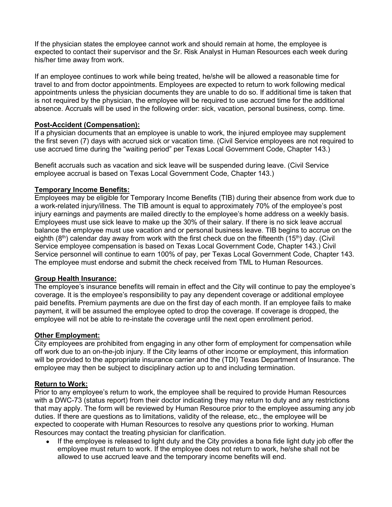If the physician states the employee cannot work and should remain at home, the employee is expected to contact their supervisor and the Sr. Risk Analyst in Human Resources each week during his/her time away from work.

If an employee continues to work while being treated, he/she will be allowed a reasonable time for travel to and from doctor appointments. Employees are expected to return to work following medical appointments unless the physician documents they are unable to do so. If additional time is taken that is not required by the physician, the employee will be required to use accrued time for the additional absence. Accruals will be used in the following order: sick, vacation, personal business, comp. time.

# **Post-Accident (Compensation):**

If a physician documents that an employee is unable to work, the injured employee may supplement the first seven (7) days with accrued sick or vacation time. (Civil Service employees are not required to use accrued time during the "waiting period" per Texas Local Government Code, Chapter 143.)

Benefit accruals such as vacation and sick leave will be suspended during leave. (Civil Service employee accrual is based on Texas Local Government Code, Chapter 143.)

# **Temporary Income Benefits:**

Employees may be eligible for Temporary Income Benefits (TIB) during their absence from work due to a work-related injury/illness. The TIB amount is equal to approximately 70% of the employee's post injury earnings and payments are mailed directly to the employee's home address on a weekly basis. Employees must use sick leave to make up the 30% of their salary. If there is no sick leave accrual balance the employee must use vacation and or personal business leave. TIB begins to accrue on the eighth  $(8<sup>th</sup>)$  calendar day away from work with the first check due on the fifteenth (15<sup>th</sup>) day. (Civil Service employee compensation is based on Texas Local Government Code, Chapter 143.) Civil Service personnel will continue to earn 100% of pay, per Texas Local Government Code, Chapter 143. The employee must endorse and submit the check received from TML to Human Resources.

## **Group Health Insurance:**

The employee's insurance benefits will remain in effect and the City will continue to pay the employee's coverage. It is the employee's responsibility to pay any dependent coverage or additional employee paid benefits. Premium payments are due on the first day of each month. If an employee fails to make payment, it will be assumed the employee opted to drop the coverage. If coverage is dropped, the employee will not be able to re-instate the coverage until the next open enrollment period.

## **Other Employment:**

City employees are prohibited from engaging in any other form of employment for compensation while off work due to an on-the-job injury. If the City learns of other income or employment, this information will be provided to the appropriate insurance carrier and the (TDI) Texas Department of Insurance. The employee may then be subject to disciplinary action up to and including termination.

## **Return to Work:**

Prior to any employee's return to work, the employee shall be required to provide Human Resources with a DWC-73 (status report) from their doctor indicating they may return to duty and any restrictions that may apply. The form will be reviewed by Human Resource prior to the employee assuming any job duties. If there are questions as to limitations, validity of the release, etc., the employee will be expected to cooperate with Human Resources to resolve any questions prior to working. Human Resources may contact the treating physician for clarification.

If the employee is released to light duty and the City provides a bona fide light duty job offer the employee must return to work. If the employee does not return to work, he/she shall not be allowed to use accrued leave and the temporary income benefits will end.